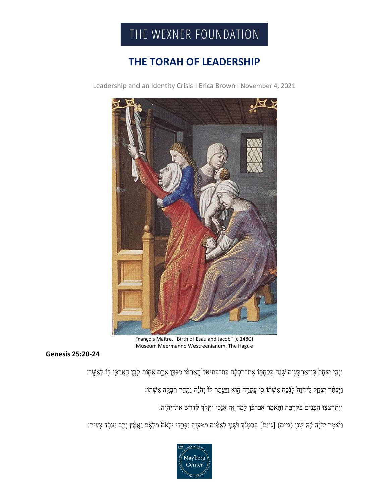

## **THE TORAH OF LEADERSHIP**

Leadership and an Identity Crisis I Erica Brown I November 4, 2021



François Maitre, "Birth of Esau and Jacob" (c.1480) Museum Meermanno Westreenianum, The Hague

**Genesis 25:20-24**

וַיְהָי יִצְחָק בֶּן־אַרְבָּעִים שָׁנָּה בְּקַחְתִּוֹ אֶת־רִבְקָה בַּת־בְּתוּאֵל הֲאֲרַמִּי מִפַּדֶּן אֲרֵם אֲחֶוֹת לָבֶן הָאֲרַמֵּי לִוֹ לְאִשֶּׁה:

וַיֶּעְמַּ֫ר יִצְהָק לִיהֹוָהֹ לְנָ֫כַח אִשְׁתּׂוֹ כִּי עֲקָרֶה הֶוא וַיֵּעֲתֶר לוֹ יְהֹוָ֫ה וַמַּהַר רִבְקֶה אִשְׁתְּוֹ׃

וַיִּתְרְצְצָוּ הַבָּנִיםۢ בְּקִרְבָּ֫הְ וַתְּאמֶר אִם־כֹּוָ לֵמֶּה זֶהְ אָנֶֽכִי וַתֲּלֶךְ לִדְרָ<sup>ּיָ</sup>ש אֶת־יְהֹוֶה:

ַוְיֹּאמֶר יְהֹוָ֫ה לָ֣ה שָׁנֵי (גיים) [גוֹיִם] בְּבִטְנֵ֫ךְ וּשְׁנֵי לְאָמִ֫יִם יִפְרֵ֣דוּ וּלְאֹם מֵלְאִם יֵאֲמָ֫ץ וְרַב יַעֲבָ֫ד צָעֵיר: